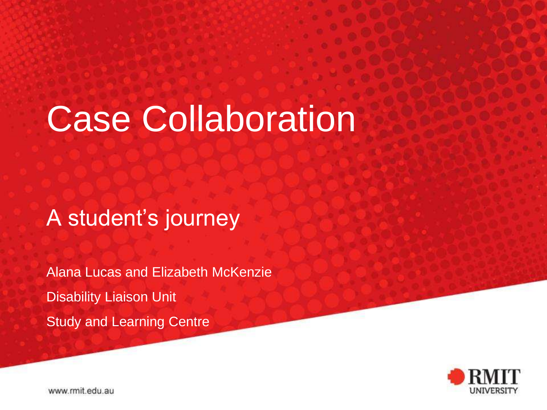# Case Collaboration

A student's journey

Alana Lucas and Elizabeth McKenzie Disability Liaison Unit Study and Learning Centre



www.rmit.edu.au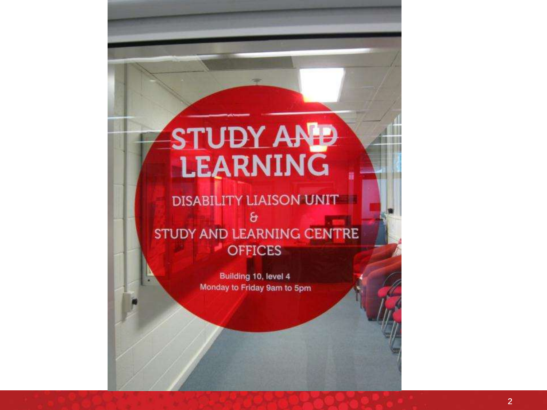# STUDY AND

Image of SL doors and SL doors

### **DISABILITY LIAISON UNIT**ε STUDY AND LEARNING CENTRE **OFFICES**

Building 10, level 4 Monday to Friday 9am to 5pm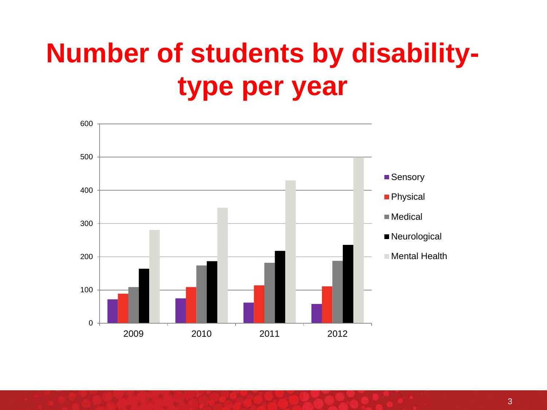### **Number of students by disabilitytype per year**

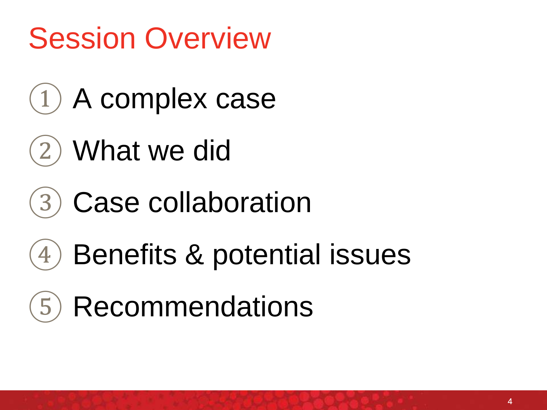### Session Overview

- $(1)$  A complex case
- ② What we did
- (3) Case collaboration
- $(4)$  Benefits & potential issues
- (5) Recommendations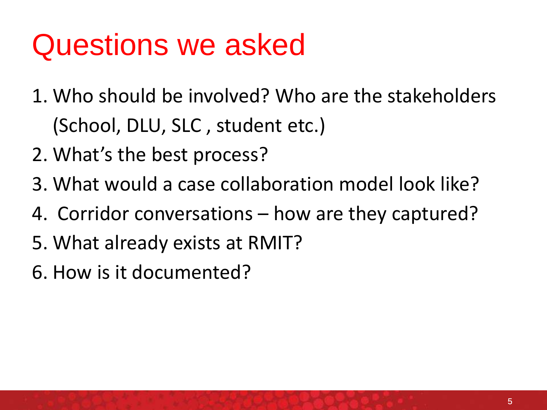### Questions we asked

- 1. Who should be involved? Who are the stakeholders (School, DLU, SLC , student etc.)
- 2. What's the best process?
- 3. What would a case collaboration model look like?
- 4. Corridor conversations how are they captured?
- 5. What already exists at RMIT?
- 6. How is it documented?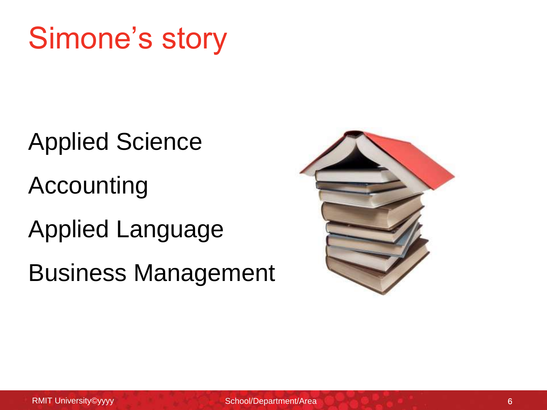### Simone's story

Applied Science Accounting Applied Language Business Management

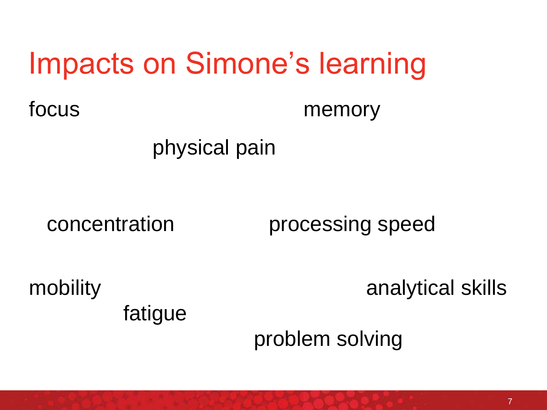### Impacts on Simone's learning

focus memory

### physical pain

concentration processing speed

fatigue

mobility analytical skills

problem solving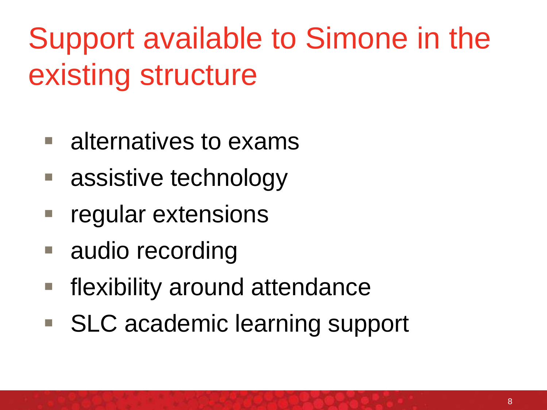Support available to Simone in the existing structure

- alternatives to exams
- assistive technology
- regular extensions
- audio recording
- flexibility around attendance
- SLC academic learning support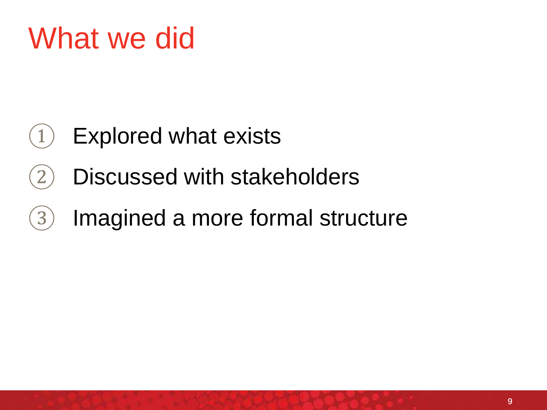### What we did

- $(1)$  Explored what exists
- ② Discussed with stakeholders
- ③ Imagined a more formal structure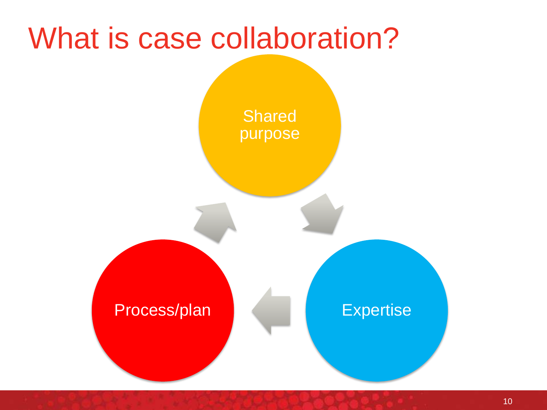### What is case collaboration?



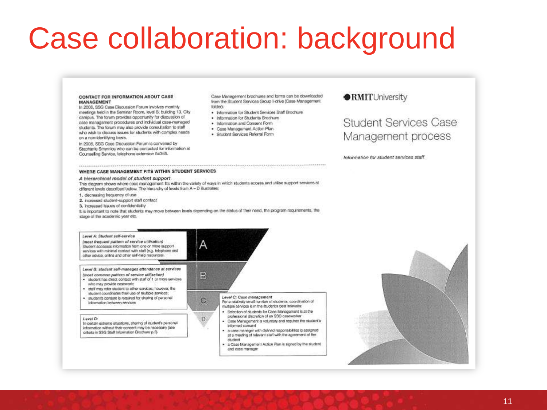### Case collaboration: background

### **CONTACT FOR INFORMATION ABOUT CASE** MANAGEMENT

In 2006, SSG Case Discussion Forum Involves monthly meetings held in the Seminar Room, lavel B, building 13, City camous. The forum provides opportunity for discussion of case management procedures and individual case-managed students. The forum may also provide consultation to staff who wish to discuss issues for students with complex needs on a non-identifying basis.

In 2006, SSG Case Discussion Forum is convened by Stephanie Smyrnios who can be contacted for information at Counseling Service, telephone extension 54365.

Case Management brochures and forms can be downloaded from the Student Services Group I-drive (Case Management folded

- . Information for Student Services Staff Brochure
- · Information for Students Brochure
- · Information and Consent Form
- · Case Management Action Plan
- · Student Services Referral Form

### RMITUniversity

Student Services Case Management process

Information for student services staff.

### WHERE CASE MANAGEMENT FITS WITHIN STUDENT SERVICES

### A hierarchical model of student support

This diagram shows where case management fits within the variety of ways in which students access and utilise support services at different levels described below. The hierarchy of levels from A - D illustrates:

1. decreasing frequency of use

- 2. increased student-support staff contact
- 3. increased issues of confidentiality

It is important to note that students may move between levels depending on the status of their need, the program requirements, the stage of the academic year etc.

Α

В

C.

### Level A: Student self-service

(most frequent pattern of service utilisation) Student accesses information from one or more support services with minimal contact with staff (e.g. telephone and other advice, online and other self-help resources).

Level B: student self-manages attendance at services (most common pattern of service utilisation)

- . student has direct contact with staff of 1 or more services who may provide casework:
- . staff may refer student to other services; however, the
- student coordinates their use of multiple services;
- · student's consent is required for sharing of personal Information between services

### Level D:

In certain extreme stuations, sharing of student's personal information without their consent may be necessary (see criteria in SSG Staff Information Brochure p.5)

Level C: Case management For a relatively small number of students, coordination of multiple services is in the student's best interests

- · Selection of students for Case Menagement is at the professional discretion of an SSG caseworker
- · Case Management is voluntary and requires the student's informed consent
- . a case manager with delined responsibilities is assigned at a meeting of relevant staff with the agreement of the studient
- · a Case Management Action Plan is signed by the student and case monoger

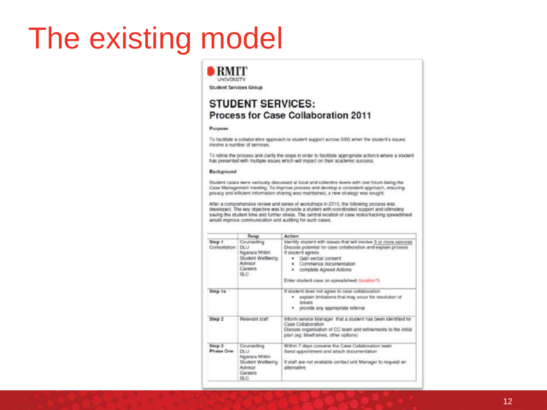### The existing model

### $\blacksquare$ RMIT UNIVERSITY

Student Services Group

### **STUDENT SERVICES:** Process for Case Collaboration 2011

### Purpose

To facilitate a collaborative approach to student support across SSG when the student's issues involve a number of services.

To refine the process and clarity the steps in order to facilitate appropriate action/s where a student has presented with multiple issues which will impact on their academic success.

### Background

Student cases were variously discussed at local and collective levels with one forum being the Case Management meeting. To improve process and develop a consistent approach, ensuring privacy and efficient information sharing was maintained, a new strategy was sought.

After a comprehensive review and series of workshops in 2010, the following process was developed. The key objective was to provide a student with coordinated support and ultimately saving the student time and further stress. The central location of case notes/tracking spreadsheet would improve communication and auditing for such cases.

|                        | Resp                                                                                          | Action                                                                                                                                                                                                                                  |
|------------------------|-----------------------------------------------------------------------------------------------|-----------------------------------------------------------------------------------------------------------------------------------------------------------------------------------------------------------------------------------------|
| Step 1<br>Consultation | Counseting<br><b>DLU</b><br>Ngarara Willim<br>Student Wellbeing<br>Advisor<br>Careers<br>SLC  | identify student with issues that will involve 3 or more services<br>Discuss potential for case collaboration and explain process<br>If student agrees<br>Gain verbal consent<br>Commence documentation<br>٠<br>complete Agreed Actions |
|                        |                                                                                               | Enter student case on spreadsheet (location?)                                                                                                                                                                                           |
| Step ta                |                                                                                               | If student does not agree to case collaboration<br>explain limitations that may occur for resolution of<br><b>ISSUARS</b><br>provide any appropriate referral                                                                           |
| Stop 2                 | Rolevant staff                                                                                | inform service Manager that a student has been identified for<br>Case Collaboration<br>Discuss organisation of CC team and refinements to the initial<br>plan (eg: timeframes, other options)                                           |
| Step 3<br>Phase One:   | Counseting<br><b>DEU</b><br>Ngarara Willim<br>Student Wellbeing<br>Advisor<br>Careers<br>SLC- | Within 7 days converse the Case Collaboration team.<br>Send appointment and attach documentation<br>if staff are not available contact unit Manager to request an<br>alternative                                                        |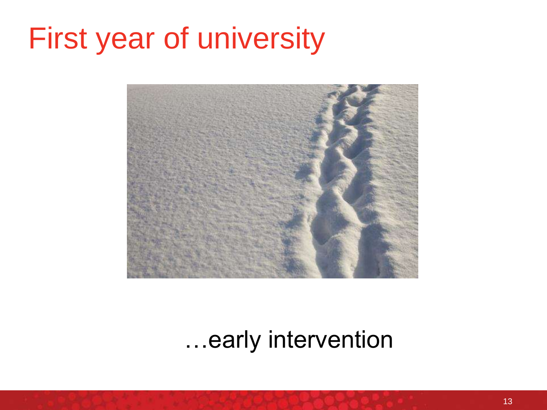### First year of university



…early intervention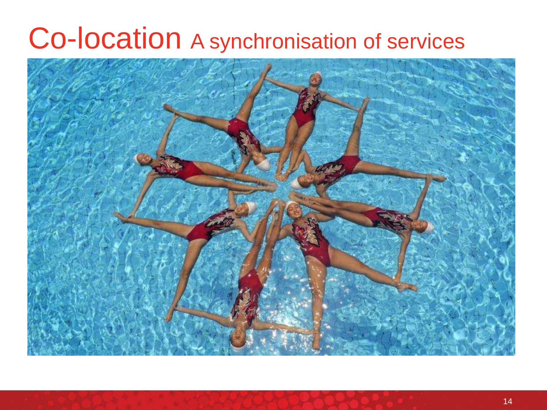### Co-location A synchronisation of services

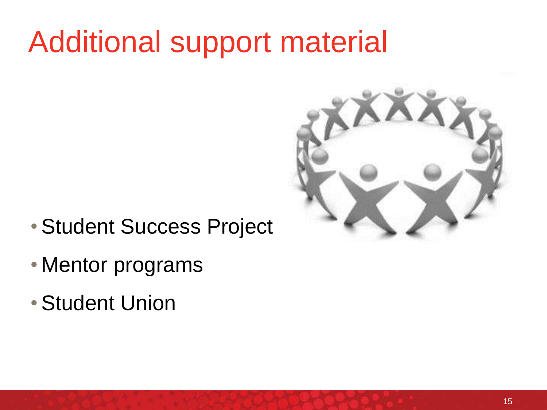### Additional support material



- •Student Success Project
- Mentor programs
- •Student Union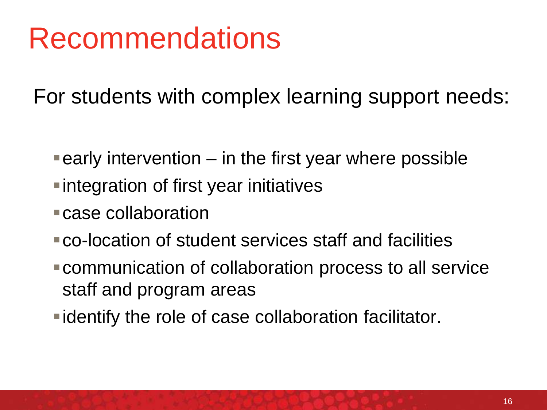### Recommendations

For students with complex learning support needs:

- $\blacksquare$  early intervention  $-$  in the first year where possible
- integration of first year initiatives
- case collaboration
- co-location of student services staff and facilities
- communication of collaboration process to all service staff and program areas
- identify the role of case collaboration facilitator.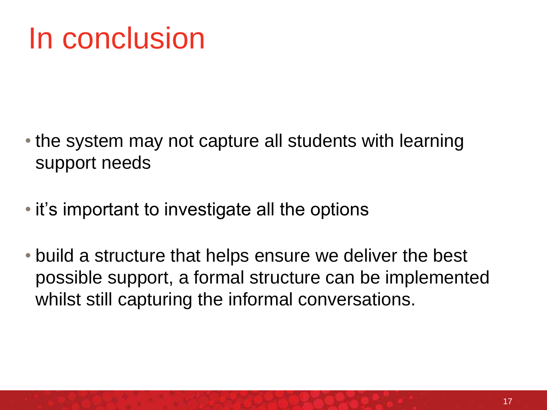### In conclusion

- the system may not capture all students with learning support needs
- it's important to investigate all the options
- build a structure that helps ensure we deliver the best possible support, a formal structure can be implemented whilst still capturing the informal conversations.